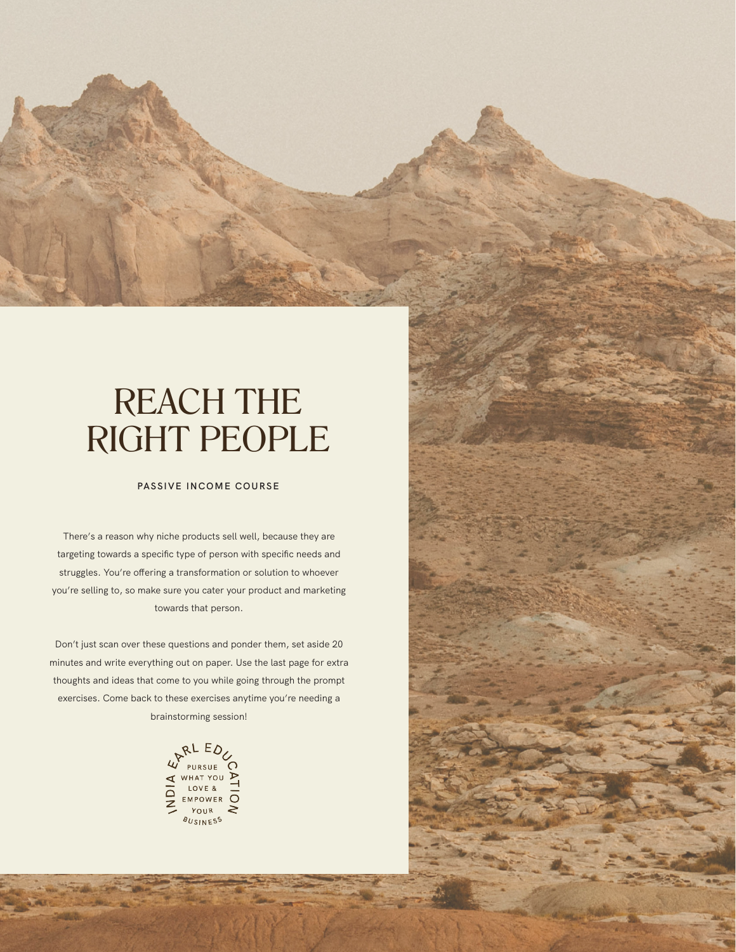## REACH THE RIGHT PEOPLE

## **PASSIVE INCOME COURSE**

There's a reason why niche products sell well, because they are targeting towards a specific type of person with specific needs and struggles. You're offering a transformation or solution to whoever you're selling to, so make sure you cater your product and marketing towards that person.

Don't just scan over these questions and ponder them, set aside 20 minutes and write everything out on paper. Use the last page for extra thoughts and ideas that come to you while going through the prompt exercises. Come back to these exercises anytime you're needing a brainstorming session!

> W<sup>RLED</sup>U ∢ HAT YOU  $\blacktriangleright$ ND<sub>1</sub> LOVE & EMPOWER O **COUR** <sup>8</sup>USINES<sup>S</sup>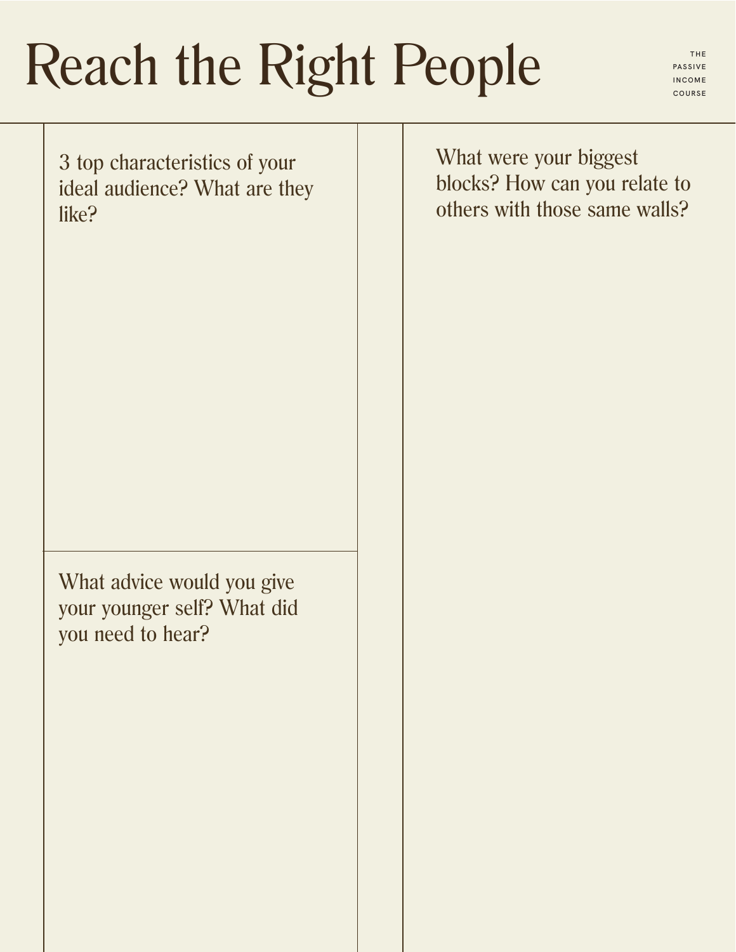## Reach the Right People

**PASSIVE INCOME COURSE**

3 top characteristics of your ideal audience? What are they like?

What advice would you give your younger self? What did you need to hear?

What were your biggest blocks? How can you relate to others with those same walls?